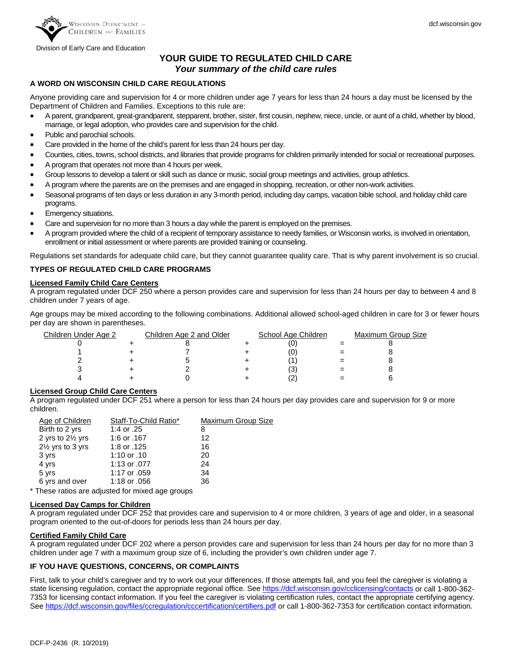

Division of Early Care and Education

# **YOUR GUIDE TO REGULATED CHILD CARE** *Your summary of the child care rules*

### **A WORD ON WISCONSIN CHILD CARE REGULATIONS**

Anyone providing care and supervision for 4 or more children under age 7 years for less than 24 hours a day must be licensed by the Department of Children and Families. Exceptions to this rule are:

- A parent, grandparent, great-grandparent, stepparent, brother, sister, first cousin, nephew, niece, uncle, or aunt of a child, whether by blood, marriage, or legal adoption, who provides care and supervision for the child.
- Public and parochial schools.
- Care provided in the home of the child's parent for less than 24 hours per day.
- Counties, cities, towns, school districts, and libraries that provide programs for children primarily intended for social or recreational purposes.
- A program that operates not more than 4 hours per week.
- Group lessons to develop a talent or skill such as dance or music, social group meetings and activities, group athletics.
- A program where the parents are on the premises and are engaged in shopping, recreation, or other non-work activities.
- Seasonal programs of ten days or less duration in any 3-month period, including day camps, vacation bible school, and holiday child care programs.
- Emergency situations.
- Care and supervision for no more than 3 hours a day while the parent is employed on the premises.
- A program provided where the child of a recipient of temporary assistance to needy families, or Wisconsin works, is involved in orientation, enrollment or initial assessment or where parents are provided training or counseling.

Regulations set standards for adequate child care, but they cannot guarantee quality care. That is why parent involvement is so crucial.

#### **TYPES OF REGULATED CHILD CARE PROGRAMS**

#### **Licensed Family Child Care Centers**

A program regulated under DCF 250 where a person provides care and supervision for less than 24 hours per day to between 4 and 8 children under 7 years of age.

Age groups may be mixed according to the following combinations. Additional allowed school-aged children in care for 3 or fewer hours per day are shown in parentheses.

| <u>Children Under Age 2</u> | Children Age 2 and Older | School Age Children | Maximum Group Size |
|-----------------------------|--------------------------|---------------------|--------------------|
|                             |                          |                     |                    |
|                             |                          | (0                  |                    |
|                             |                          |                     |                    |
|                             |                          | (3                  |                    |
|                             |                          | ∠                   |                    |

### **Licensed Group Child Care Centers**

A program regulated under DCF 251 where a person for less than 24 hours per day provides care and supervision for 9 or more children.

| Age of Children             | Staff-To-Child Ratio* | Maximum Group Size |
|-----------------------------|-----------------------|--------------------|
| Birth to 2 yrs              | 1:4 or .25            | 8                  |
| 2 yrs to 21/2 yrs           | 1:6 or .167           | 12                 |
| $2\frac{1}{2}$ yrs to 3 yrs | 1:8 or .125           | 16                 |
| 3 yrs                       | 1:10 or .10           | 20                 |
| 4 yrs                       | 1:13 or .077          | 24                 |
| 5 yrs                       | 1:17 or .059          | 34                 |
| 6 yrs and over              | 1:18 or .056          | 36                 |
|                             |                       |                    |

\* These ratios are adjusted for mixed age groups

#### **Licensed Day Camps for Children**

A program regulated under DCF 252 that provides care and supervision to 4 or more children, 3 years of age and older, in a seasonal program oriented to the out-of-doors for periods less than 24 hours per day.

#### **Certified Family Child Care**

A program regulated under DCF 202 where a person provides care and supervision for less than 24 hours per day for no more than 3 children under age 7 with a maximum group size of 6, including the provider's own children under age 7.

#### **IF YOU HAVE QUESTIONS, CONCERNS, OR COMPLAINTS**

First, talk to your child's caregiver and try to work out your differences. If those attempts fail, and you feel the caregiver is violating a state licensing regulation, contact the appropriate regional office. See <https://dcf.wisconsin.gov/cclicensing/contacts> or call 1-800-362-7353 for licensing contact information. If you feel the caregiver is violating certification rules, contact the appropriate certifying agency. Se[e https://dcf.wisconsin.gov/files/ccregulation/cccertification/certifiers.pdf](https://dcf.wisconsin.gov/files/ccregulation/cccertification/certifiers.pdf) or call 1-800-362-7353 for certification contact information.